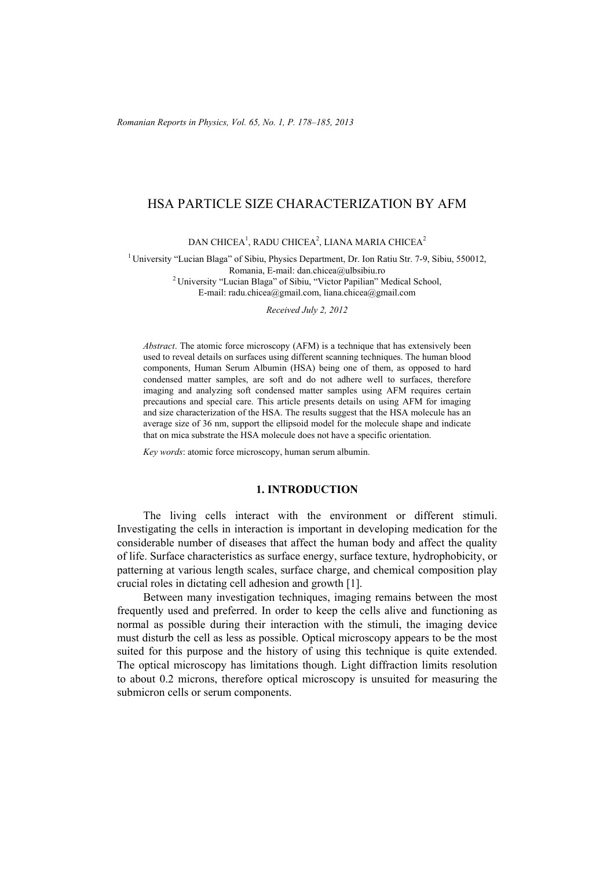# HSA PARTICLE SIZE CHARACTERIZATION BY AFM

DAN CHICEA $^1$ , RADU CHICEA $^2$ , LIANA MARIA CHICEA $^2$ 

<sup>1</sup> University "Lucian Blaga" of Sibiu, Physics Department, Dr. Ion Ratiu Str. 7-9, Sibiu, 550012, Romania, E-mail: dan.chicea@ulbsibiu.ro 2 University "Lucian Blaga" of Sibiu, "Victor Papilian" Medical School, E-mail: radu.chicea@gmail.com, liana.chicea@gmail.com

*Received July 2, 2012* 

*Abstract*. The atomic force microscopy (AFM) is a technique that has extensively been used to reveal details on surfaces using different scanning techniques. The human blood components, Human Serum Albumin (HSA) being one of them, as opposed to hard condensed matter samples, are soft and do not adhere well to surfaces, therefore imaging and analyzing soft condensed matter samples using AFM requires certain precautions and special care. This article presents details on using AFM for imaging and size characterization of the HSA. The results suggest that the HSA molecule has an average size of 36 nm, support the ellipsoid model for the molecule shape and indicate that on mica substrate the HSA molecule does not have a specific orientation.

*Key words*: atomic force microscopy, human serum albumin.

### **1. INTRODUCTION**

The living cells interact with the environment or different stimuli. Investigating the cells in interaction is important in developing medication for the considerable number of diseases that affect the human body and affect the quality of life. Surface characteristics as surface energy, surface texture, hydrophobicity, or patterning at various length scales, surface charge, and chemical composition play crucial roles in dictating cell adhesion and growth [1].

Between many investigation techniques, imaging remains between the most frequently used and preferred. In order to keep the cells alive and functioning as normal as possible during their interaction with the stimuli, the imaging device must disturb the cell as less as possible. Optical microscopy appears to be the most suited for this purpose and the history of using this technique is quite extended. The optical microscopy has limitations though. Light diffraction limits resolution to about 0.2 microns, therefore optical microscopy is unsuited for measuring the submicron cells or serum components.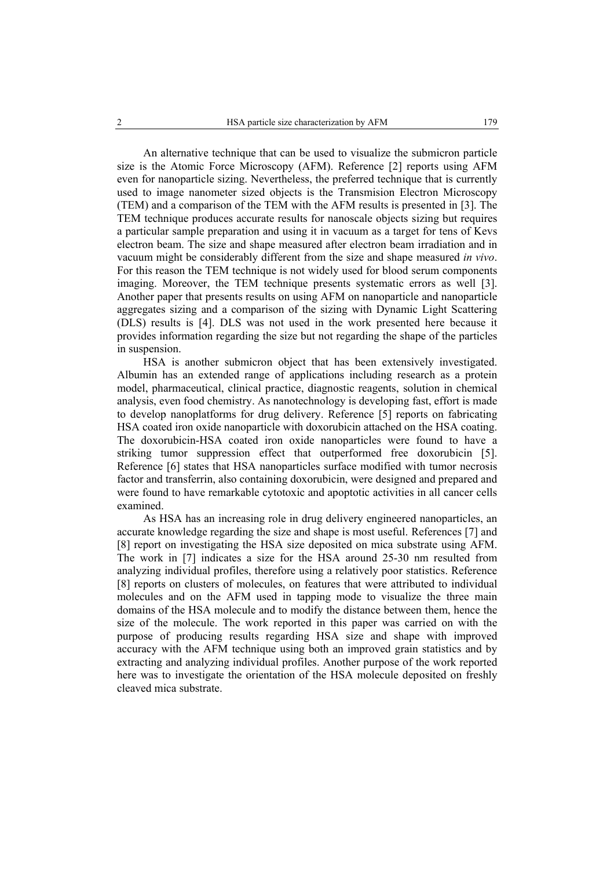An alternative technique that can be used to visualize the submicron particle size is the Atomic Force Microscopy (AFM). Reference [2] reports using AFM even for nanoparticle sizing. Nevertheless, the preferred technique that is currently used to image nanometer sized objects is the Transmision Electron Microscopy (TEM) and a comparison of the TEM with the AFM results is presented in [3]. The TEM technique produces accurate results for nanoscale objects sizing but requires a particular sample preparation and using it in vacuum as a target for tens of Kevs electron beam. The size and shape measured after electron beam irradiation and in vacuum might be considerably different from the size and shape measured *in vivo*. For this reason the TEM technique is not widely used for blood serum components imaging. Moreover, the TEM technique presents systematic errors as well [3]. Another paper that presents results on using AFM on nanoparticle and nanoparticle aggregates sizing and a comparison of the sizing with Dynamic Light Scattering (DLS) results is [4]. DLS was not used in the work presented here because it provides information regarding the size but not regarding the shape of the particles in suspension.

HSA is another submicron object that has been extensively investigated. Albumin has an extended range of applications including research as a protein model, pharmaceutical, clinical practice, diagnostic reagents, solution in chemical analysis, even food chemistry. As nanotechnology is developing fast, effort is made to develop nanoplatforms for drug delivery. Reference [5] reports on fabricating HSA coated iron oxide nanoparticle with doxorubicin attached on the HSA coating. The doxorubicin-HSA coated iron oxide nanoparticles were found to have a striking tumor suppression effect that outperformed free doxorubicin [5]. Reference [6] states that HSA nanoparticles surface modified with tumor necrosis factor and transferrin, also containing doxorubicin, were designed and prepared and were found to have remarkable cytotoxic and apoptotic activities in all cancer cells examined.

As HSA has an increasing role in drug delivery engineered nanoparticles, an accurate knowledge regarding the size and shape is most useful. References [7] and [8] report on investigating the HSA size deposited on mica substrate using AFM. The work in [7] indicates a size for the HSA around 25-30 nm resulted from analyzing individual profiles, therefore using a relatively poor statistics. Reference [8] reports on clusters of molecules, on features that were attributed to individual molecules and on the AFM used in tapping mode to visualize the three main domains of the HSA molecule and to modify the distance between them, hence the size of the molecule. The work reported in this paper was carried on with the purpose of producing results regarding HSA size and shape with improved accuracy with the AFM technique using both an improved grain statistics and by extracting and analyzing individual profiles. Another purpose of the work reported here was to investigate the orientation of the HSA molecule deposited on freshly cleaved mica substrate.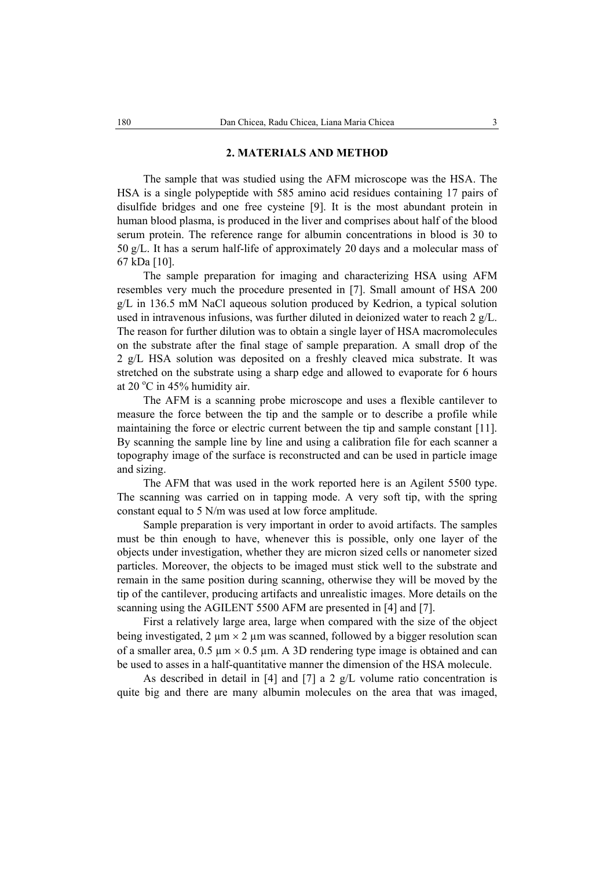### **2. MATERIALS AND METHOD**

The sample that was studied using the AFM microscope was the HSA. The HSA is a single polypeptide with 585 amino acid residues containing 17 pairs of disulfide bridges and one free cysteine [9]. It is the most abundant protein in human blood plasma, is produced in the liver and comprises about half of the blood serum protein. The reference range for albumin concentrations in blood is 30 to 50 g/L. It has a serum half-life of approximately 20 days and a molecular mass of 67 kDa [10].

The sample preparation for imaging and characterizing HSA using AFM resembles very much the procedure presented in [7]. Small amount of HSA 200 g/L in 136.5 mM NaCl aqueous solution produced by Kedrion, a typical solution used in intravenous infusions, was further diluted in deionized water to reach 2  $g/L$ . The reason for further dilution was to obtain a single layer of HSA macromolecules on the substrate after the final stage of sample preparation. A small drop of the 2 g/L HSA solution was deposited on a freshly cleaved mica substrate. It was stretched on the substrate using a sharp edge and allowed to evaporate for 6 hours at 20 $\degree$ C in 45% humidity air.

The AFM is a scanning probe microscope and uses a flexible cantilever to measure the force between the tip and the sample or to describe a profile while maintaining the force or electric current between the tip and sample constant [11]. By scanning the sample line by line and using a calibration file for each scanner a topography image of the surface is reconstructed and can be used in particle image and sizing.

The AFM that was used in the work reported here is an Agilent 5500 type. The scanning was carried on in tapping mode. A very soft tip, with the spring constant equal to 5 N/m was used at low force amplitude.

Sample preparation is very important in order to avoid artifacts. The samples must be thin enough to have, whenever this is possible, only one layer of the objects under investigation, whether they are micron sized cells or nanometer sized particles. Moreover, the objects to be imaged must stick well to the substrate and remain in the same position during scanning, otherwise they will be moved by the tip of the cantilever, producing artifacts and unrealistic images. More details on the scanning using the AGILENT 5500 AFM are presented in [4] and [7].

First a relatively large area, large when compared with the size of the object being investigated, 2  $\mu$ m × 2  $\mu$ m was scanned, followed by a bigger resolution scan of a smaller area,  $0.5 \mu m \times 0.5 \mu m$ . A 3D rendering type image is obtained and can be used to asses in a half-quantitative manner the dimension of the HSA molecule.

As described in detail in [4] and [7] a 2  $g/L$  volume ratio concentration is quite big and there are many albumin molecules on the area that was imaged,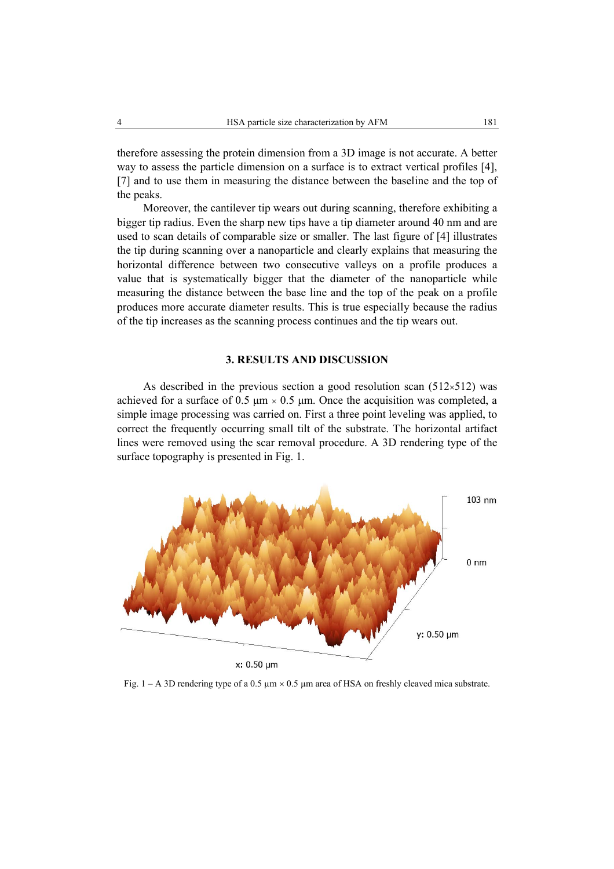therefore assessing the protein dimension from a 3D image is not accurate. A better way to assess the particle dimension on a surface is to extract vertical profiles [4], [7] and to use them in measuring the distance between the baseline and the top of the peaks.

Moreover, the cantilever tip wears out during scanning, therefore exhibiting a bigger tip radius. Even the sharp new tips have a tip diameter around 40 nm and are used to scan details of comparable size or smaller. The last figure of [4] illustrates the tip during scanning over a nanoparticle and clearly explains that measuring the horizontal difference between two consecutive valleys on a profile produces a value that is systematically bigger that the diameter of the nanoparticle while measuring the distance between the base line and the top of the peak on a profile produces more accurate diameter results. This is true especially because the radius of the tip increases as the scanning process continues and the tip wears out.

## **3. RESULTS AND DISCUSSION**

As described in the previous section a good resolution scan  $(512\times512)$  was achieved for a surface of 0.5  $\mu$ m × 0.5  $\mu$ m. Once the acquisition was completed, a simple image processing was carried on. First a three point leveling was applied, to correct the frequently occurring small tilt of the substrate. The horizontal artifact lines were removed using the scar removal procedure. A 3D rendering type of the surface topography is presented in Fig. 1.



x: 0.50 um

Fig.  $1 - A$  3D rendering type of a 0.5  $\mu$ m  $\times$  0.5  $\mu$ m area of HSA on freshly cleaved mica substrate.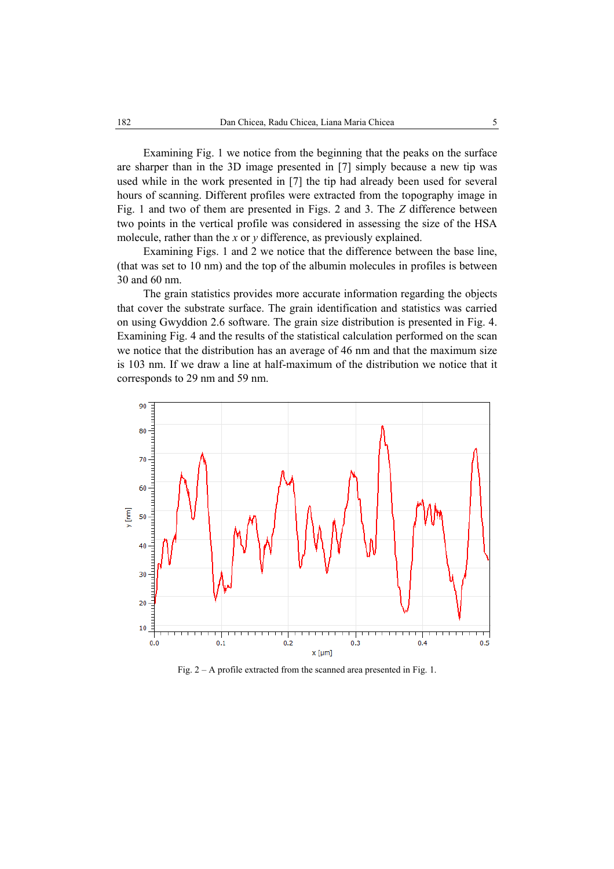Examining Fig. 1 we notice from the beginning that the peaks on the surface are sharper than in the 3D image presented in [7] simply because a new tip was used while in the work presented in [7] the tip had already been used for several hours of scanning. Different profiles were extracted from the topography image in Fig. 1 and two of them are presented in Figs. 2 and 3. The *Z* difference between two points in the vertical profile was considered in assessing the size of the HSA molecule, rather than the *x* or *y* difference, as previously explained.

Examining Figs. 1 and 2 we notice that the difference between the base line, (that was set to 10 nm) and the top of the albumin molecules in profiles is between 30 and 60 nm.

The grain statistics provides more accurate information regarding the objects that cover the substrate surface. The grain identification and statistics was carried on using Gwyddion 2.6 software. The grain size distribution is presented in Fig. 4. Examining Fig. 4 and the results of the statistical calculation performed on the scan we notice that the distribution has an average of 46 nm and that the maximum size is 103 nm. If we draw a line at half-maximum of the distribution we notice that it corresponds to 29 nm and 59 nm.



Fig. 2 – A profile extracted from the scanned area presented in Fig. 1.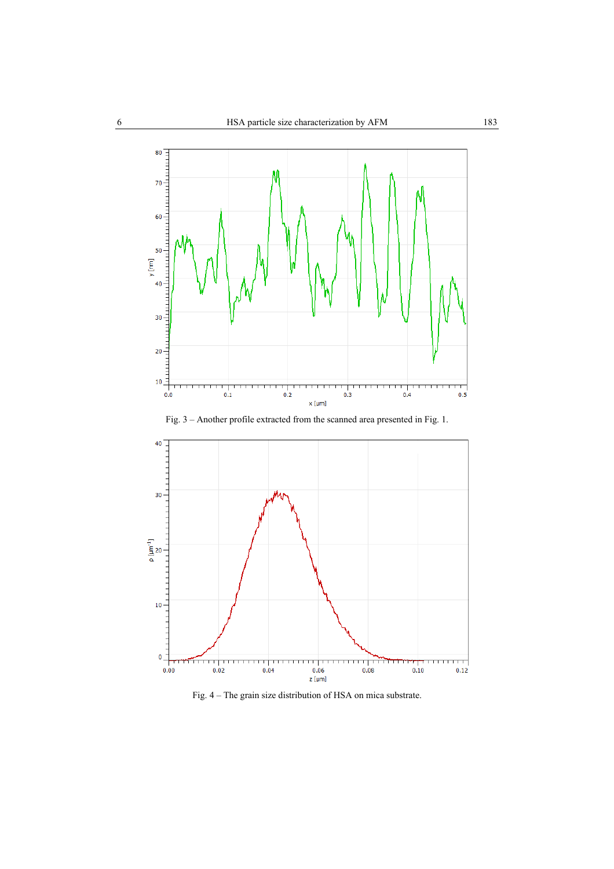

Fig. 3 – Another profile extracted from the scanned area presented in Fig. 1.



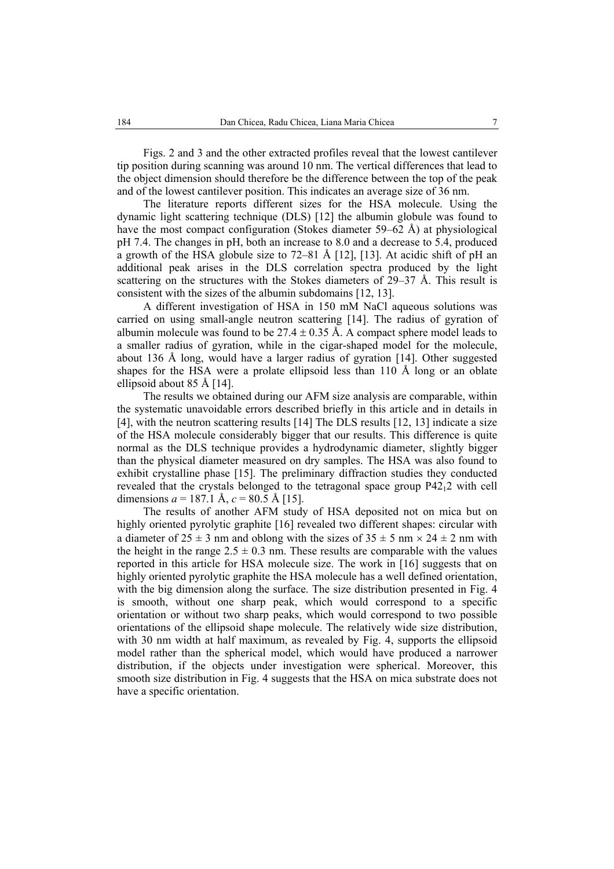Figs. 2 and 3 and the other extracted profiles reveal that the lowest cantilever tip position during scanning was around 10 nm. The vertical differences that lead to the object dimension should therefore be the difference between the top of the peak and of the lowest cantilever position. This indicates an average size of 36 nm.

The literature reports different sizes for the HSA molecule. Using the dynamic light scattering technique (DLS) [12] the albumin globule was found to have the most compact configuration (Stokes diameter 59–62 Å) at physiological pH 7.4. The changes in pH, both an increase to 8.0 and a decrease to 5.4, produced a growth of the HSA globule size to 72–81 Å [12], [13]. At acidic shift of pH an additional peak arises in the DLS correlation spectra produced by the light scattering on the structures with the Stokes diameters of  $29-37$  Å. This result is consistent with the sizes of the albumin subdomains [12, 13].

A different investigation of HSA in 150 mM NaCl aqueous solutions was carried on using small-angle neutron scattering [14]. The radius of gyration of albumin molecule was found to be 27.4  $\pm$  0.35 Å. A compact sphere model leads to a smaller radius of gyration, while in the cigar-shaped model for the molecule, about 136 Å long, would have a larger radius of gyration [14]. Other suggested shapes for the HSA were a prolate ellipsoid less than 110 Å long or an oblate ellipsoid about 85 Å [14].

The results we obtained during our AFM size analysis are comparable, within the systematic unavoidable errors described briefly in this article and in details in [4], with the neutron scattering results [14] The DLS results [12, 13] indicate a size of the HSA molecule considerably bigger that our results. This difference is quite normal as the DLS technique provides a hydrodynamic diameter, slightly bigger than the physical diameter measured on dry samples. The HSA was also found to exhibit crystalline phase [15]. The preliminary diffraction studies they conducted revealed that the crystals belonged to the tetragonal space group P4212 with cell dimensions  $a = 187.1 \text{ Å}, c = 80.5 \text{ Å}$  [15].

The results of another AFM study of HSA deposited not on mica but on highly oriented pyrolytic graphite [16] revealed two different shapes: circular with a diameter of  $25 \pm 3$  nm and oblong with the sizes of  $35 \pm 5$  nm  $\times 24 \pm 2$  nm with the height in the range  $2.5 \pm 0.3$  nm. These results are comparable with the values reported in this article for HSA molecule size. The work in [16] suggests that on highly oriented pyrolytic graphite the HSA molecule has a well defined orientation, with the big dimension along the surface. The size distribution presented in Fig. 4 is smooth, without one sharp peak, which would correspond to a specific orientation or without two sharp peaks, which would correspond to two possible orientations of the ellipsoid shape molecule. The relatively wide size distribution, with 30 nm width at half maximum, as revealed by Fig. 4, supports the ellipsoid model rather than the spherical model, which would have produced a narrower distribution, if the objects under investigation were spherical. Moreover, this smooth size distribution in Fig. 4 suggests that the HSA on mica substrate does not have a specific orientation.